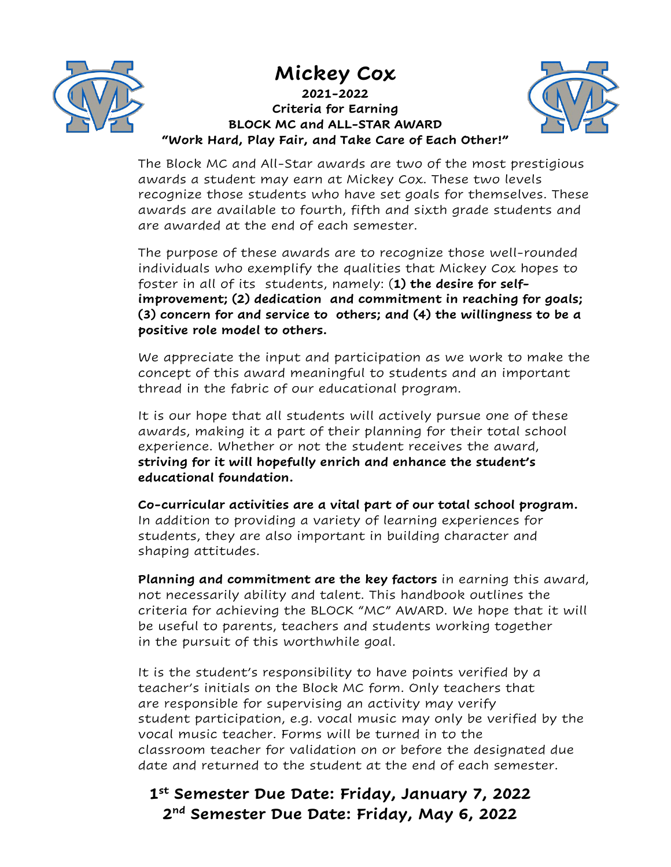



**2021-2022 Criteria for Earning BLOCK MC and ALL-STAR AWARD "Work Hard, Play Fair, and Take Care of Each Other!"**



The Block MC and All-Star awards are two of the most prestigious awards a student may earn at Mickey Cox. These two levels recognize those students who have set goals for themselves. These awards are available to fourth, fifth and sixth grade students and are awarded at the end of each semester.

The purpose of these awards are to recognize those well-rounded individuals who exemplify the qualities that Mickey Cox hopes to foster in all of its students, namely: (**1) the desire for selfimprovement; (2) dedication and commitment in reaching for goals; (3) concern for and service to others; and (4) the willingness to be a positive role model to others.**

We appreciate the input and participation as we work to make the concept of this award meaningful to students and an important thread in the fabric of our educational program.

It is our hope that all students will actively pursue one of these awards, making it a part of their planning for their total school experience. Whether or not the student receives the award, **striving for it will hopefully enrich and enhance the student's educational foundation.**

**Co-curricular activities are a vital part of our total school program.**  In addition to providing a variety of learning experiences for students, they are also important in building character and shaping attitudes.

**Planning and commitment are the key factors** in earning this award, not necessarily ability and talent. This handbook outlines the criteria for achieving the BLOCK "MC" AWARD. We hope that it will be useful to parents, teachers and students working together in the pursuit of this worthwhile goal.

It is the student's responsibility to have points verified by a teacher's initials on the Block MC form. Only teachers that are responsible for supervising an activity may verify student participation, e.g. vocal music may only be verified by the vocal music teacher. Forms will be turned in to the classroom teacher for validation on or before the designated due date and returned to the student at the end of each semester.

# **1st Semester Due Date: Friday, January 7, 2022 2nd Semester Due Date: Friday, May 6, 2022**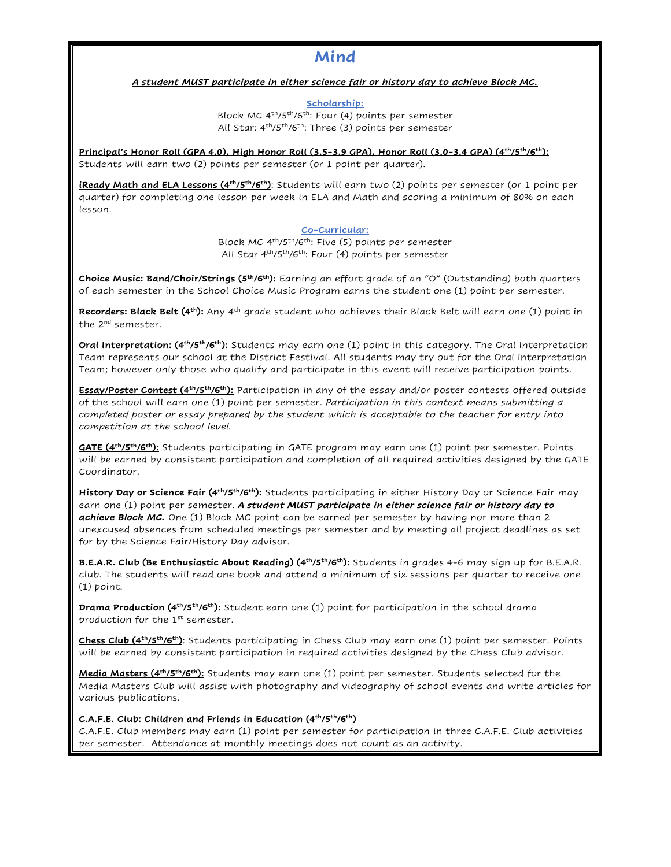## **Mind**

### *A student MUST participate in either science fair or history day to achieve Block MC.*

**Scholarship:** Block MC 4th/5th/6th: Four (4) points per semester All Star: 4<sup>th</sup>/5<sup>th</sup>/6<sup>th</sup>: Three (3) points per semester

Principal's Honor Roll (GPA 4.0), High Honor Roll (3.5-3.9 GPA), Honor Roll (3.0-3.4 GPA) (4<sup>th</sup>/5<sup>th</sup>/6<sup>th</sup>): Students will earn two (2) points per semester (or 1 point per quarter).

**iReady Math and ELA Lessons (4th/5th/6th)**: Students will earn two (2) points per semester (or 1 point per quarter) for completing one lesson per week in ELA and Math and scoring a minimum of 80% on each lesson.

#### **Co-Curricular:**

Block MC 4th/5th/6th: Five (5) points per semester All Star  $4<sup>th</sup>/5<sup>th</sup>/6<sup>th</sup>$ : Four (4) points per semester

**Choice Music: Band/Choir/Strings (5th/6th):** Earning an effort grade of an "O" (Outstanding) both quarters of each semester in the School Choice Music Program earns the student one (1) point per semester.

Recorders: Black Belt (4<sup>th</sup>): Any 4<sup>th</sup> grade student who achieves their Black Belt will earn one (1) point in the 2<sup>nd</sup> semester.

**Oral Interpretation: (4th/5th/6th):** Students may earn one (1) point in this category. The Oral Interpretation Team represents our school at the District Festival. All students may try out for the Oral Interpretation Team; however only those who qualify and participate in this event will receive participation points.

**Essay/Poster Contest (4th/5th/6th):** Participation in any of the essay and/or poster contests offered outside of the school will earn one (1) point per semester. *Participation in this context means submitting a completed poster or essay prepared by the student which is acceptable to the teacher for entry into competition at the school level.*

**GATE (4th/5th/6th):** Students participating in GATE program may earn one (1) point per semester. Points will be earned by consistent participation and completion of all required activities designed by the GATE Coordinator.

**History Day or Science Fair (4th/5th/6th):** Students participating in either History Day or Science Fair may earn one (1) point per semester. *A student MUST participate in either science fair or history day to achieve Block MC.* One (1) Block MC point can be earned per semester by having nor more than 2 unexcused absences from scheduled meetings per semester and by meeting all project deadlines as set for by the Science Fair/History Day advisor.

**B.E.A.R. Club (Be Enthusiastic About Reading) (4<sup>th</sup>/5<sup>th</sup>/6<sup>th</sup>): Students in grades 4-6 may sign up for B.E.A.R.** club. The students will read one book and attend a minimum of six sessions per quarter to receive one (1) point.

**Drama Production (4th/5th/6th):** Student earn one (1) point for participation in the school drama production for the  $1<sup>st</sup>$  semester.

**Chess Club (4th/5th/6th)**: Students participating in Chess Club may earn one (1) point per semester. Points will be earned by consistent participation in required activities designed by the Chess Club advisor.

**Media Masters (4th/5th/6th):** Students may earn one (1) point per semester. Students selected for the Media Masters Club will assist with photography and videography of school events and write articles for various publications.

#### **C.A.F.E. Club: Children and Friends in Education (4th/5th/6th)**

C.A.F.E. Club members may earn (1) point per semester for participation in three C.A.F.E. Club activities per semester. Attendance at monthly meetings does not count as an activity.